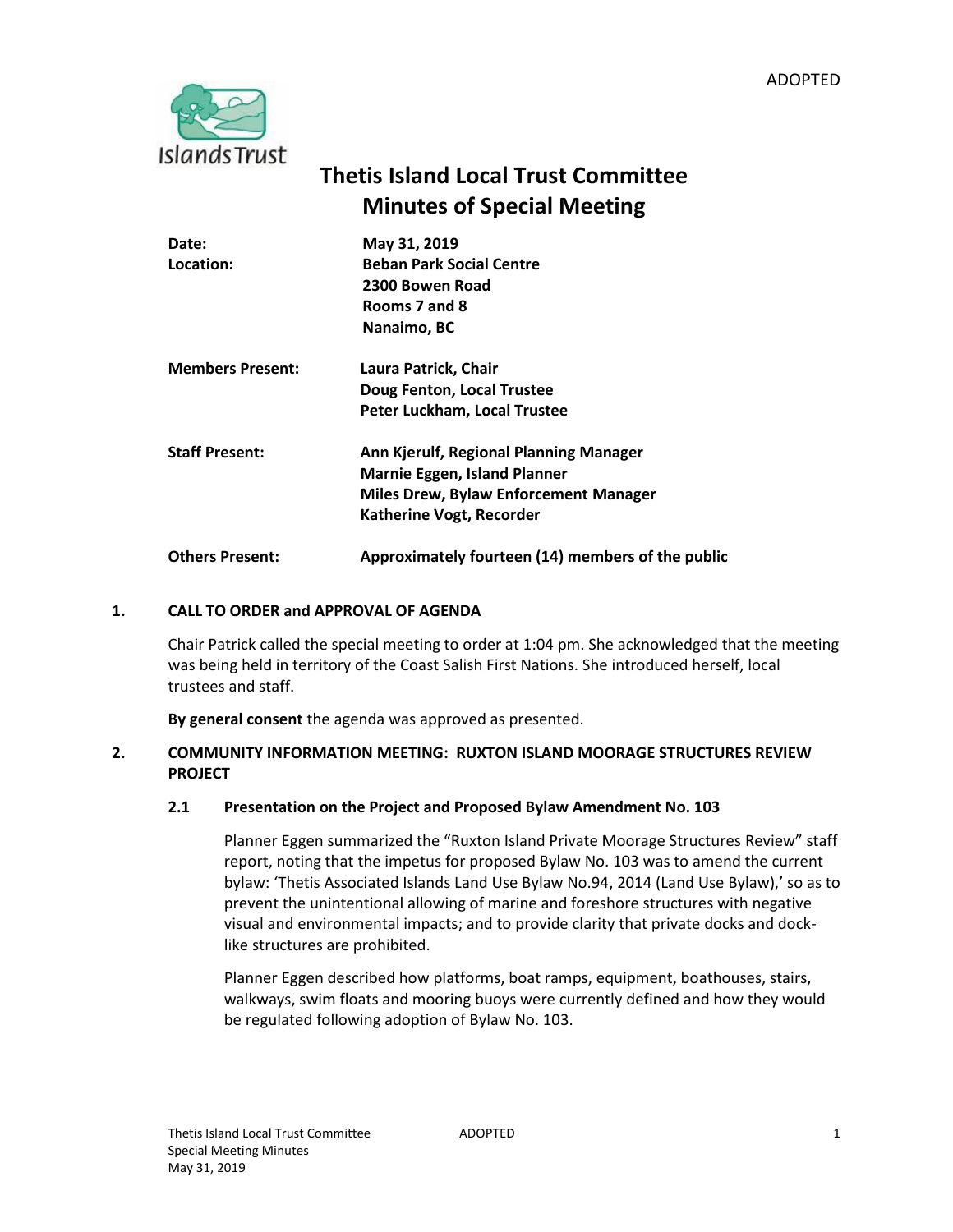

# **Thetis Island Local Trust Committee Minutes of Special Meeting**

| Date:<br>Location:      | May 31, 2019<br><b>Beban Park Social Centre</b><br>2300 Bowen Road<br>Rooms 7 and 8<br>Nanaimo, BC |
|-------------------------|----------------------------------------------------------------------------------------------------|
| <b>Members Present:</b> | Laura Patrick, Chair<br>Doug Fenton, Local Trustee                                                 |
|                         | Peter Luckham, Local Trustee                                                                       |
| <b>Staff Present:</b>   | Ann Kjerulf, Regional Planning Manager                                                             |
|                         | <b>Marnie Eggen, Island Planner</b>                                                                |
|                         | <b>Miles Drew, Bylaw Enforcement Manager</b>                                                       |
|                         | Katherine Vogt, Recorder                                                                           |
| <b>Others Present:</b>  | Approximately fourteen (14) members of the public                                                  |

#### **1. CALL TO ORDER and APPROVAL OF AGENDA**

Chair Patrick called the special meeting to order at 1:04 pm. She acknowledged that the meeting was being held in territory of the Coast Salish First Nations. She introduced herself, local trustees and staff.

**By general consent** the agenda was approved as presented.

## **2. COMMUNITY INFORMATION MEETING: RUXTON ISLAND MOORAGE STRUCTURES REVIEW PROJECT**

#### **2.1 Presentation on the Project and Proposed Bylaw Amendment No. 103**

Planner Eggen summarized the "Ruxton Island Private Moorage Structures Review" staff report, noting that the impetus for proposed Bylaw No. 103 was to amend the current bylaw: 'Thetis Associated Islands Land Use Bylaw No.94, 2014 (Land Use Bylaw),' so as to prevent the unintentional allowing of marine and foreshore structures with negative visual and environmental impacts; and to provide clarity that private docks and docklike structures are prohibited.

Planner Eggen described how platforms, boat ramps, equipment, boathouses, stairs, walkways, swim floats and mooring buoys were currently defined and how they would be regulated following adoption of Bylaw No. 103.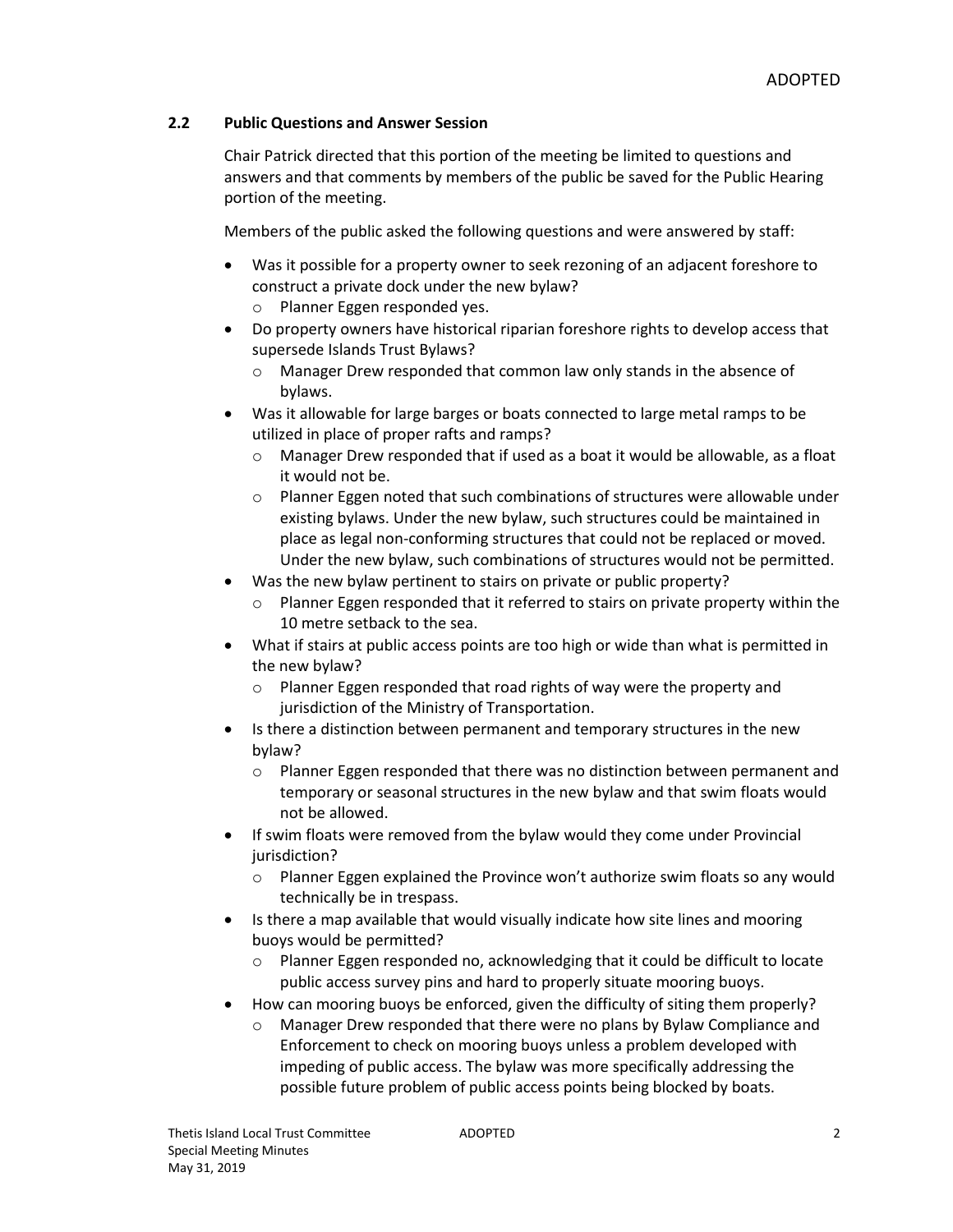# **2.2 Public Questions and Answer Session**

Chair Patrick directed that this portion of the meeting be limited to questions and answers and that comments by members of the public be saved for the Public Hearing portion of the meeting.

Members of the public asked the following questions and were answered by staff:

- Was it possible for a property owner to seek rezoning of an adjacent foreshore to construct a private dock under the new bylaw?
	- o Planner Eggen responded yes.
- Do property owners have historical riparian foreshore rights to develop access that supersede Islands Trust Bylaws?
	- o Manager Drew responded that common law only stands in the absence of bylaws.
- Was it allowable for large barges or boats connected to large metal ramps to be utilized in place of proper rafts and ramps?
	- $\circ$  Manager Drew responded that if used as a boat it would be allowable, as a float it would not be.
	- o Planner Eggen noted that such combinations of structures were allowable under existing bylaws. Under the new bylaw, such structures could be maintained in place as legal non-conforming structures that could not be replaced or moved. Under the new bylaw, such combinations of structures would not be permitted.
- Was the new bylaw pertinent to stairs on private or public property?
	- Planner Eggen responded that it referred to stairs on private property within the 10 metre setback to the sea.
- What if stairs at public access points are too high or wide than what is permitted in the new bylaw?
	- o Planner Eggen responded that road rights of way were the property and jurisdiction of the Ministry of Transportation.
- Is there a distinction between permanent and temporary structures in the new bylaw?
	- o Planner Eggen responded that there was no distinction between permanent and temporary or seasonal structures in the new bylaw and that swim floats would not be allowed.
- If swim floats were removed from the bylaw would they come under Provincial jurisdiction?
	- o Planner Eggen explained the Province won't authorize swim floats so any would technically be in trespass.
- Is there a map available that would visually indicate how site lines and mooring buoys would be permitted?
	- o Planner Eggen responded no, acknowledging that it could be difficult to locate public access survey pins and hard to properly situate mooring buoys.
- How can mooring buoys be enforced, given the difficulty of siting them properly?
	- o Manager Drew responded that there were no plans by Bylaw Compliance and Enforcement to check on mooring buoys unless a problem developed with impeding of public access. The bylaw was more specifically addressing the possible future problem of public access points being blocked by boats.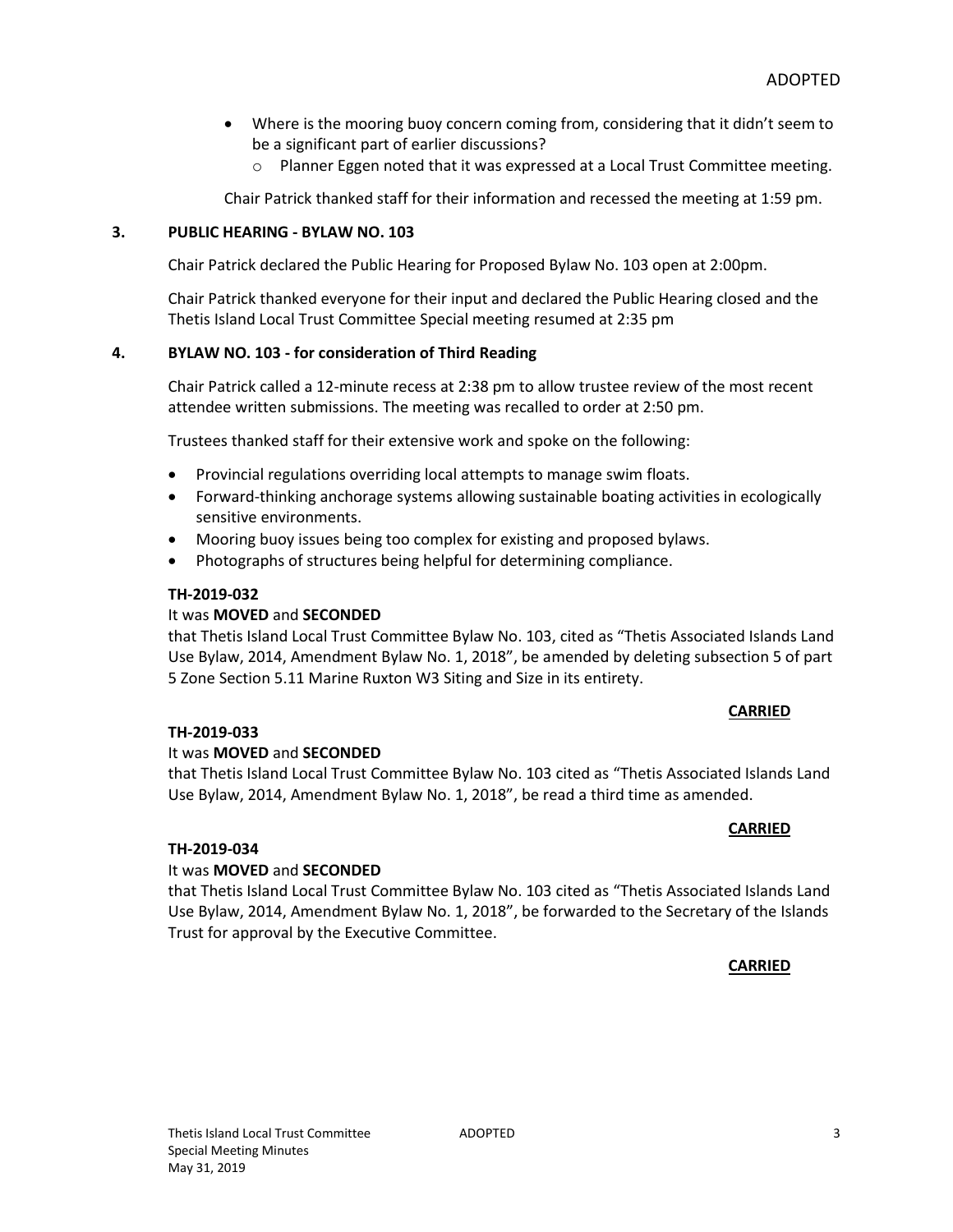- Where is the mooring buoy concern coming from, considering that it didn't seem to be a significant part of earlier discussions?
	- o Planner Eggen noted that it was expressed at a Local Trust Committee meeting.

Chair Patrick thanked staff for their information and recessed the meeting at 1:59 pm.

## **3. PUBLIC HEARING - BYLAW NO. 103**

Chair Patrick declared the Public Hearing for Proposed Bylaw No. 103 open at 2:00pm.

Chair Patrick thanked everyone for their input and declared the Public Hearing closed and the Thetis Island Local Trust Committee Special meeting resumed at 2:35 pm

## **4. BYLAW NO. 103 - for consideration of Third Reading**

Chair Patrick called a 12-minute recess at 2:38 pm to allow trustee review of the most recent attendee written submissions. The meeting was recalled to order at 2:50 pm.

Trustees thanked staff for their extensive work and spoke on the following:

- Provincial regulations overriding local attempts to manage swim floats.
- Forward-thinking anchorage systems allowing sustainable boating activities in ecologically sensitive environments.
- Mooring buoy issues being too complex for existing and proposed bylaws.
- Photographs of structures being helpful for determining compliance.

## **TH-2019-032**

## It was **MOVED** and **SECONDED**

that Thetis Island Local Trust Committee Bylaw No. 103, cited as "Thetis Associated Islands Land Use Bylaw, 2014, Amendment Bylaw No. 1, 2018", be amended by deleting subsection 5 of part 5 Zone Section 5.11 Marine Ruxton W3 Siting and Size in its entirety.

## **CARRIED**

**CARRIED**

## **TH-2019-033**

## It was **MOVED** and **SECONDED**

that Thetis Island Local Trust Committee Bylaw No. 103 cited as "Thetis Associated Islands Land Use Bylaw, 2014, Amendment Bylaw No. 1, 2018", be read a third time as amended.

# **TH-2019-034**

# It was **MOVED** and **SECONDED**

that Thetis Island Local Trust Committee Bylaw No. 103 cited as "Thetis Associated Islands Land Use Bylaw, 2014, Amendment Bylaw No. 1, 2018", be forwarded to the Secretary of the Islands Trust for approval by the Executive Committee.

**CARRIED**